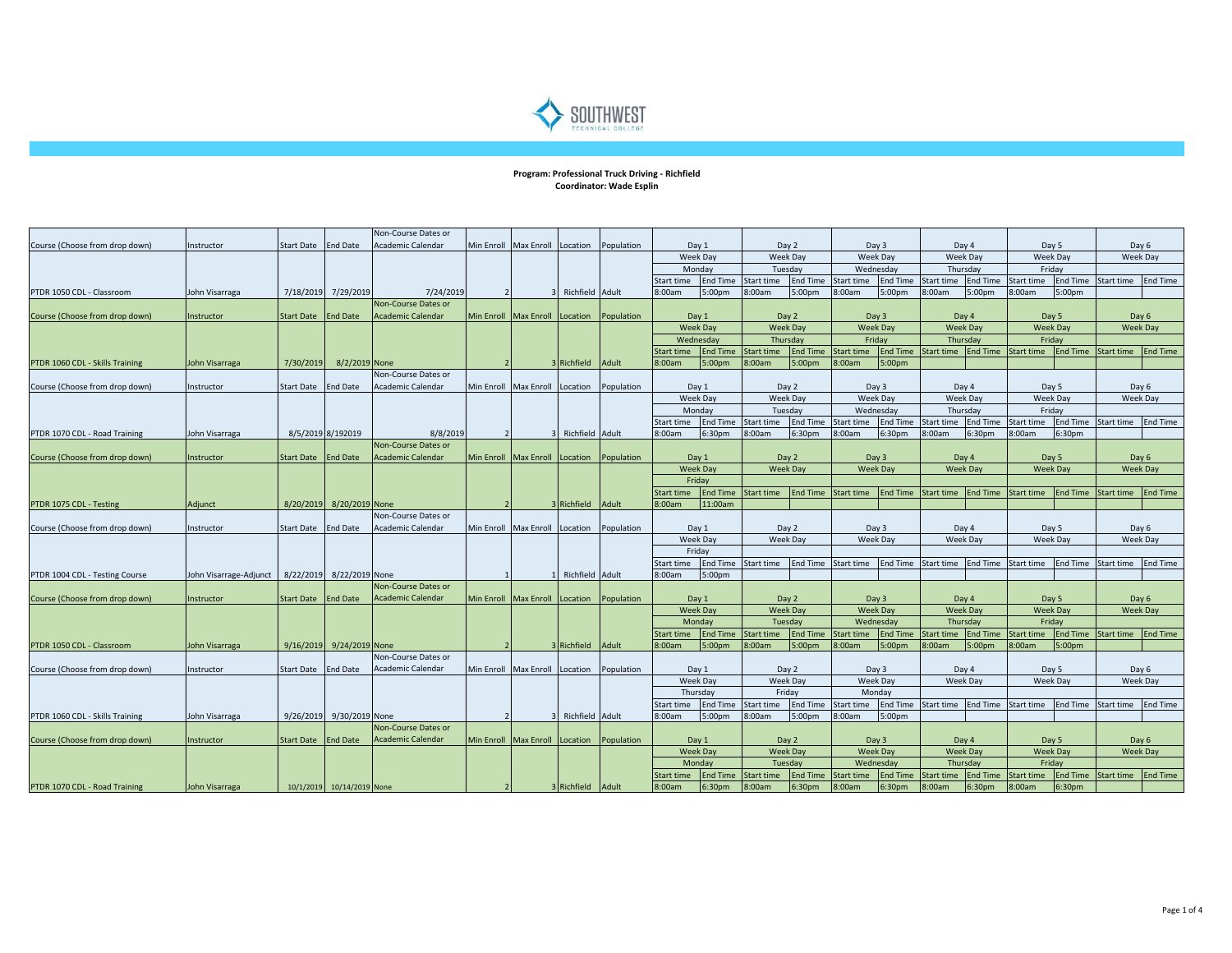

## **Program: Professional Truck Driving - Richfield Coordinator: Wade Esplin**

|                                 |                        |                     |                           | Non-Course Dates or        |                                           |                   |                     |                          |                                                             |                   |                    |                   |                    |                   |                 |                     |                     |                   |                 |                 |  |
|---------------------------------|------------------------|---------------------|---------------------------|----------------------------|-------------------------------------------|-------------------|---------------------|--------------------------|-------------------------------------------------------------|-------------------|--------------------|-------------------|--------------------|-------------------|-----------------|---------------------|---------------------|-------------------|-----------------|-----------------|--|
| Course (Choose from drop down)  | Instructor             | Start Date          | <b>End Date</b>           | Academic Calendar          | Min Enroll Max Enroll                     | Location          | Population          |                          | Day 1                                                       | Day 2             |                    | Day 3             |                    | Day 4             |                 |                     | Day 5               | Day 6             |                 |                 |  |
|                                 |                        |                     |                           |                            |                                           |                   |                     |                          | Week Day                                                    | Week Day          |                    | Week Day          |                    | Week Day          |                 |                     | Week Day            | Week Day          |                 |                 |  |
|                                 |                        |                     |                           |                            |                                           |                   |                     |                          | Monday                                                      |                   | Tuesday            |                   | Wednesday          | Thursday          |                 | Fridav              |                     |                   |                 |                 |  |
|                                 |                        |                     |                           |                            |                                           |                   |                     | Start time               | <b>End Time</b>                                             | Start time        | <b>End Time</b>    | Start time        | <b>End Time</b>    | Start time        | <b>End Time</b> | Start time          | End Time Start time |                   | <b>End Time</b> |                 |  |
| PTDR 1050 CDL - Classroom       | John Visarraga         | 7/18/2019           | 7/29/2019                 | 7/24/2019                  |                                           | Richfield Adult   |                     | 8:00am                   | 5:00pm                                                      | 8:00am            | 5:00pm             | 8:00am            | 5:00pm             | 8:00am            | 5:00pm          | 8:00am              | 5:00pm              |                   |                 |                 |  |
|                                 |                        |                     |                           | Non-Course Dates or        |                                           |                   |                     |                          |                                                             |                   |                    |                   |                    |                   |                 |                     |                     |                   |                 |                 |  |
| Course (Choose from drop down)  | Instructor             | Start Date End Date |                           | <b>Academic Calendar</b>   | Min Enroll Max Enroll Location Population |                   |                     |                          | Day 1                                                       | Day 2             |                    | Day 3             |                    | Day 4             |                 |                     | Day 5               | Day 6             |                 |                 |  |
|                                 |                        |                     |                           |                            |                                           |                   |                     |                          | <b>Week Day</b><br><b>Week Day</b><br>Wednesday<br>Thursdav |                   |                    |                   | <b>Week Day</b>    | <b>Week Day</b>   |                 |                     | Week Day            | <b>Week Day</b>   |                 |                 |  |
|                                 |                        |                     |                           |                            |                                           |                   |                     |                          |                                                             |                   | Friday             |                   | Thursdav           |                   | Fridav          |                     |                     |                   |                 |                 |  |
|                                 |                        |                     |                           |                            |                                           |                   |                     | <b>Start time</b>        | <b>End Time</b>                                             | <b>Start time</b> | <b>End Time</b>    | Start time        | <b>End Time</b>    | Start time        | <b>End Time</b> | Start time          | <b>End Time</b>     | <b>Start time</b> | <b>End Time</b> |                 |  |
| PTDR 1060 CDL - Skills Training | John Visarraga         | 7/30/2019           | 8/2/2019 None             |                            |                                           | Richfield Adult   |                     | :00am                    | 5:00pm                                                      | 3:00am            | 5:00pm             | 8:00am            | 5:00pm             |                   |                 |                     |                     |                   |                 |                 |  |
|                                 |                        |                     |                           | Non-Course Dates or        |                                           |                   |                     |                          |                                                             |                   |                    |                   |                    |                   |                 |                     |                     |                   |                 |                 |  |
| Course (Choose from drop down)  | Instructor             | Start Date          | <b>End Date</b>           | <b>Academic Calendar</b>   | Min Enroll Max Enroll                     | Location          | Population          |                          | Day 1                                                       |                   | Day 2              |                   | Day 3              |                   | Day 4           |                     | Day 5               |                   | Day 6           |                 |  |
|                                 |                        |                     |                           |                            |                                           |                   |                     |                          | Week Day                                                    | Week Day          |                    | Week Day          |                    | Week Day          |                 | Week Day            |                     | Week Day          |                 |                 |  |
|                                 |                        |                     |                           |                            |                                           |                   |                     |                          | Monday                                                      |                   | Tuesday            |                   | Wednesday          |                   | Thursday        |                     | Friday              |                   |                 |                 |  |
|                                 |                        |                     |                           |                            |                                           |                   |                     | Start time               | <b>End Time</b>                                             | Start time        | <b>End Time</b>    | <b>Start time</b> | <b>End Time</b>    | Start time        | <b>End Time</b> | Start time          | <b>End Time</b>     | Start time        | <b>End Time</b> |                 |  |
| PTDR 1070 CDL - Road Training   | ohn Visarraga          |                     | 8/5/2019 8/192019         | 8/8/2019                   |                                           | Richfield Adult   |                     | 8:00am                   | 6:30pm                                                      | 3:00am            | 6:30pm             | 3:00am            | 6:30pm             | 3:00am            | 6:30pm          | 8:00am              | 6:30pm              |                   |                 |                 |  |
|                                 |                        |                     |                           | Non-Course Dates or        |                                           |                   |                     |                          |                                                             |                   |                    |                   |                    |                   |                 |                     |                     |                   |                 |                 |  |
| Course (Choose from drop down)  | Instructor             | Start Date          | <b>End Date</b>           | <b>Academic Calendar</b>   | Min Enroll Max Enroll                     | Location          | Population          | Day 1                    |                                                             | Day 2             |                    | Day 3             |                    | Day 4             |                 |                     | Day 5               |                   | Day 6           |                 |  |
|                                 |                        |                     |                           |                            |                                           |                   |                     |                          | <b>Week Day</b>                                             | <b>Week Day</b>   |                    | <b>Week Day</b>   |                    |                   | <b>Week Day</b> |                     |                     |                   | <b>Week Day</b> | <b>Week Day</b> |  |
|                                 |                        |                     |                           |                            |                                           |                   |                     | Fridav                   |                                                             |                   |                    |                   |                    |                   |                 |                     |                     |                   |                 |                 |  |
|                                 |                        |                     |                           |                            |                                           |                   |                     | Start time               | <b>End Time</b>                                             | Start time        | <b>End Time</b>    | Start time        | <b>End Time</b>    | Start time        |                 | End Time Start time | <b>End Time</b>     | Start time        | <b>End Time</b> |                 |  |
| PTDR 1075 CDL - Testing         | Adjunct                | 8/20/2019           | 8/20/2019 None            |                            |                                           | Richfield         | Adult               | 8:00am                   | 11:00am                                                     |                   |                    |                   |                    |                   |                 |                     |                     |                   |                 |                 |  |
|                                 |                        |                     |                           | Non-Course Dates or        |                                           |                   |                     |                          |                                                             |                   |                    |                   |                    |                   |                 |                     |                     |                   |                 |                 |  |
| Course (Choose from drop down)  | Instructor             | Start Date          | <b>End Date</b>           | Academic Calendar          | Min Enroll Max Enroll                     |                   | Location Population | Day 1<br><b>Week Day</b> |                                                             | Day 2             |                    | Day 3             |                    | Day 4             |                 | Day 5               |                     | Day 6             |                 |                 |  |
|                                 |                        |                     |                           |                            |                                           |                   |                     |                          |                                                             | Week Day          |                    | <b>Week Day</b>   |                    | <b>Week Dav</b>   |                 | <b>Week Dav</b>     |                     | Week Day          |                 |                 |  |
|                                 |                        |                     |                           |                            |                                           |                   |                     |                          | Friday                                                      |                   |                    |                   |                    |                   |                 |                     |                     |                   |                 |                 |  |
|                                 |                        |                     |                           |                            |                                           |                   |                     | Start time               | <b>End Time</b>                                             | Start time        | <b>End Time</b>    | Start time        | <b>End Time</b>    | Start time        | <b>End Time</b> | Start time          | <b>End Time</b>     | Start time        | <b>End Time</b> |                 |  |
| PTDR 1004 CDL - Testing Course  | John Visarrage-Adjunct |                     | 8/22/2019 8/22/2019 None  |                            |                                           | Richfield Adult   |                     | 8:00am                   | 5:00pm                                                      |                   |                    |                   |                    |                   |                 |                     |                     |                   |                 |                 |  |
|                                 |                        |                     |                           | Non-Course Dates or        |                                           |                   |                     |                          |                                                             |                   |                    |                   |                    |                   |                 |                     |                     |                   |                 |                 |  |
| Course (Choose from drop down)  | Instructor             | Start Date          | <b>End Date</b>           | <b>Academic Calendar</b>   | Min Enroll Max Enroll                     | Location          | Population          |                          | Day 1                                                       | Day 2             |                    | Day 3             |                    | Day 4             |                 | Day 5               |                     | Day 6             |                 |                 |  |
|                                 |                        |                     |                           |                            |                                           |                   |                     |                          | <b>Week Day</b>                                             | Week Day          |                    | <b>Week Day</b>   |                    | <b>Week Day</b>   |                 |                     | <b>Week Day</b>     | <b>Week Day</b>   |                 |                 |  |
|                                 |                        |                     |                           |                            |                                           |                   |                     |                          | Monday                                                      | Tuesdav           |                    | Wednesday         |                    | Thursdav          |                 | Fridav              |                     |                   |                 |                 |  |
|                                 |                        |                     |                           |                            |                                           |                   |                     | <b>Start time</b>        | <b>End Time</b>                                             | Start time        | <b>End Time</b>    | <b>Start time</b> | <b>End Time</b>    | <b>Start time</b> | <b>End Time</b> | Start time          | <b>End Time</b>     | <b>Start time</b> | <b>End Time</b> |                 |  |
| PTDR 1050 CDL - Classroom       | John Visarraga         |                     | 9/16/2019 9/24/2019 None  |                            |                                           | Richfield Adult   |                     | 3:00am                   | 5:00 <sub>pm</sub>                                          | 3:00am            | 5:00 <sub>pm</sub> | 8:00am            | 5:00pm             | 8:00am            | 5:00pm          | 3:00am              | 5:00pm              |                   |                 |                 |  |
|                                 |                        |                     |                           | <b>Non-Course Dates or</b> |                                           |                   |                     |                          |                                                             |                   |                    |                   |                    |                   |                 |                     |                     |                   |                 |                 |  |
| Course (Choose from drop down)  | Instructor             | Start Date          | <b>End Date</b>           | Academic Calendar          | Min Enroll Max Enroll                     | Location          | Population          |                          | Day 1                                                       | Day 2             |                    | Day 3             |                    | Day 4             |                 |                     | Day 5               | Day 6             |                 |                 |  |
|                                 |                        |                     |                           |                            |                                           |                   |                     |                          | Week Day                                                    | Week Day          |                    | Week Day          |                    | Week Day          |                 |                     | Week Day            | Week Day          |                 |                 |  |
|                                 |                        |                     |                           |                            |                                           |                   |                     | Thursday                 |                                                             | Friday            |                    | Monday            |                    |                   |                 |                     |                     |                   |                 |                 |  |
|                                 |                        |                     |                           |                            |                                           |                   |                     | Start time               | <b>End Time</b>                                             | Start time        | <b>End Time</b>    | Start time        | <b>End Time</b>    | Start time        | <b>End Time</b> | Start time          | <b>End Time</b>     | <b>Start time</b> | <b>End Time</b> |                 |  |
| PTDR 1060 CDL - Skills Training | John Visarraga         |                     | 9/26/2019 9/30/2019 None  |                            |                                           | Richfield Adult   |                     | 8:00am                   | 5:00pm                                                      | 8:00am            | 5:00pm             | 8:00am            | 5:00pm             |                   |                 |                     |                     |                   |                 |                 |  |
|                                 |                        |                     |                           | Non-Course Dates or        |                                           |                   |                     |                          |                                                             |                   |                    |                   |                    |                   |                 |                     |                     |                   |                 |                 |  |
| Course (Choose from drop down)  | Instructor             | Start Date          | <b>End Date</b>           | <b>Academic Calendar</b>   | Min Enroll Max Enroll Location Population |                   |                     |                          | Day 1                                                       | Day 2             |                    | Day 3             |                    | Day 4             |                 | Day 5               |                     | Day 6             |                 |                 |  |
|                                 |                        |                     |                           |                            |                                           |                   |                     |                          | <b>Week Day</b>                                             | Week Day          |                    | <b>Week Day</b>   |                    | <b>Week Day</b>   |                 | <b>Week Day</b>     |                     | <b>Week Day</b>   |                 |                 |  |
|                                 |                        |                     |                           |                            |                                           |                   |                     |                          | Monday                                                      | Tuesday           |                    | Wednesday         |                    | Thursday          |                 | Friday              |                     |                   |                 |                 |  |
|                                 |                        |                     |                           |                            |                                           |                   |                     | Start time               | <b>End Time</b>                                             | Start time        | <b>End Time</b>    | Start time        | <b>End Time</b>    | <b>Start time</b> | <b>End Time</b> | Start time          | <b>End Time</b>     | Start time        | <b>End Time</b> |                 |  |
| PTDR 1070 CDL - Road Training   | John Visarraga         |                     | 10/1/2019 10/14/2019 None |                            |                                           | 3 Richfield Adult |                     | 8:00am                   | 6:30pm                                                      | 8:00am            | 6:30pm             | 8:00am            | 6:30 <sub>pm</sub> | 8:00am            | 6:30pm          | 8:00am              | 6:30pm              |                   |                 |                 |  |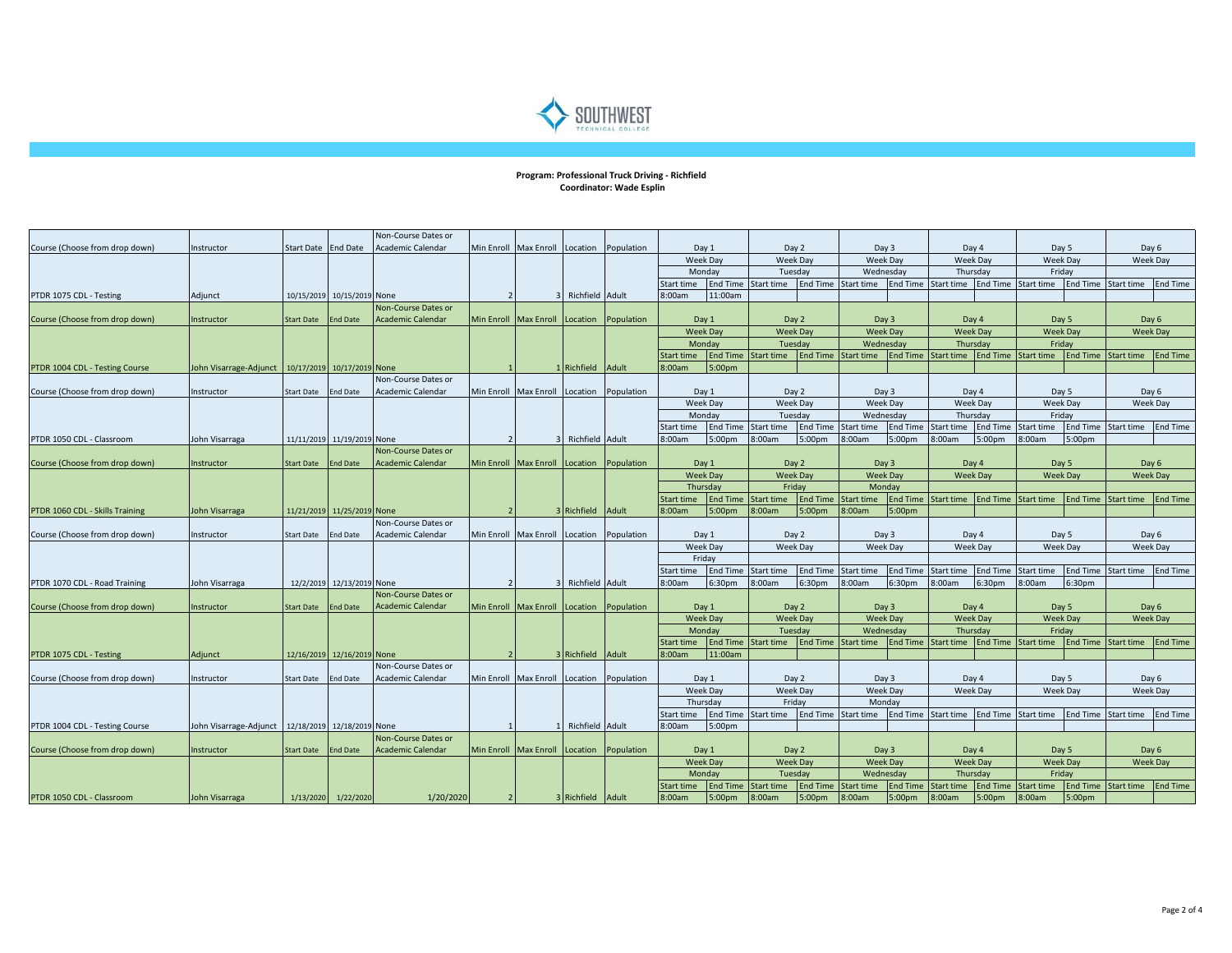

## **Program: Professional Truck Driving - Richfield Coordinator: Wade Esplin**

|                                 |                                                     |                   |                            | Non-Course Dates or        |                   |                                           |                   |                     |                                         |                               |                     |                 |                          |                    |                          |                                                          |                          |                   |                     |                                        |          |  |  |  |  |       |  |       |       |  |
|---------------------------------|-----------------------------------------------------|-------------------|----------------------------|----------------------------|-------------------|-------------------------------------------|-------------------|---------------------|-----------------------------------------|-------------------------------|---------------------|-----------------|--------------------------|--------------------|--------------------------|----------------------------------------------------------|--------------------------|-------------------|---------------------|----------------------------------------|----------|--|--|--|--|-------|--|-------|-------|--|
| Course (Choose from drop down)  | Instructor                                          | <b>Start Date</b> | <b>End Date</b>            | <b>Academic Calendar</b>   | Min Enroll        | <b>Max Enroll</b>                         | Location          | Population          | Day 1                                   |                               | Day 2               |                 | Day 3                    |                    | Day 4                    |                                                          |                          | Day 5             | Day 6               |                                        |          |  |  |  |  |       |  |       |       |  |
|                                 |                                                     |                   |                            |                            |                   |                                           |                   |                     |                                         | <b>Week Day</b>               |                     | Week Day        |                          | Week Day           |                          | <b>Week Day</b>                                          |                          | Week Day          | <b>Week Day</b>     |                                        |          |  |  |  |  |       |  |       |       |  |
|                                 |                                                     |                   |                            |                            |                   |                                           |                   |                     | Monday<br><b>End Time</b><br>Start time |                               | Tuesday             |                 | Wednesday                |                    | Thursday                 |                                                          | Friday                   |                   |                     |                                        |          |  |  |  |  |       |  |       |       |  |
|                                 |                                                     |                   |                            |                            |                   |                                           |                   |                     |                                         |                               | Start time          |                 | End Time Start time      | <b>End Time</b>    | Start time               | <b>End Time</b>                                          | Start time               | End Time          | Start time          | <b>End Time</b>                        |          |  |  |  |  |       |  |       |       |  |
| PTDR 1075 CDL - Testing         | Adjunct                                             |                   | 10/15/2019 10/15/2019 None |                            |                   |                                           | Richfield Adult   |                     | 8:00am                                  | 11:00am                       |                     |                 |                          |                    |                          |                                                          |                          |                   |                     |                                        |          |  |  |  |  |       |  |       |       |  |
|                                 |                                                     |                   |                            | Non-Course Dates or        |                   |                                           |                   |                     |                                         |                               |                     |                 |                          |                    |                          |                                                          |                          |                   |                     |                                        |          |  |  |  |  |       |  |       |       |  |
| Course (Choose from drop down)  | Instructor                                          | Start Date        | <b>End Date</b>            | <b>Academic Calendar</b>   |                   | Min Enroll Max Enroll Location Population |                   |                     |                                         | Day 1                         |                     | Day 2           | Day 3                    |                    | Day 4                    |                                                          |                          | Day 5             | Day 6               |                                        |          |  |  |  |  |       |  |       |       |  |
|                                 |                                                     |                   |                            |                            |                   |                                           |                   |                     |                                         | <b>Week Day</b>               | <b>Week Day</b>     |                 | <b>Week Day</b>          |                    | <b>Week Day</b>          |                                                          |                          | <b>Week Day</b>   | <b>Week Day</b>     |                                        |          |  |  |  |  |       |  |       |       |  |
|                                 |                                                     |                   |                            |                            |                   |                                           |                   |                     |                                         | Monday                        |                     | Tuesday         |                          | Wednesday          |                          | Thursday                                                 |                          | Friday            |                     |                                        |          |  |  |  |  |       |  |       |       |  |
|                                 |                                                     |                   |                            |                            |                   |                                           |                   |                     | <b>Start time</b>                       | <b>End Time</b><br>Start time |                     |                 | End Time Start time      | <b>End Time</b>    |                          | <b>End Time</b><br>Start time                            |                          | <b>Start time</b> |                     | <b>End Time</b><br>End Time Start time |          |  |  |  |  |       |  |       |       |  |
| PTDR 1004 CDL - Testing Course  | John Visarrage-Adjunct                              | 10/17/2019        | 10/17/2019                 | None                       |                   |                                           | Richfield Adult   |                     | 8:00am                                  | 5:00pm                        |                     |                 |                          |                    |                          |                                                          |                          |                   |                     |                                        |          |  |  |  |  |       |  |       |       |  |
|                                 |                                                     |                   |                            | Non-Course Dates or        |                   |                                           |                   |                     |                                         |                               |                     |                 |                          |                    |                          |                                                          |                          |                   |                     |                                        |          |  |  |  |  |       |  |       |       |  |
| Course (Choose from drop down)  | Instructor                                          | Start Date        | <b>End Date</b>            | Academic Calendar          |                   | Min Enroll Max Enroll                     | Location          | Population          |                                         | Day 1                         | Day 2               |                 | Day 3                    |                    |                          | Day 4                                                    |                          | Day 5             |                     | Day 6                                  |          |  |  |  |  |       |  |       |       |  |
|                                 |                                                     |                   |                            |                            |                   |                                           |                   |                     |                                         | <b>Week Day</b>               |                     | Week Day        |                          |                    |                          | Week Day                                                 | <b>Week Day</b>          |                   | <b>Week Day</b>     |                                        | Week Day |  |  |  |  |       |  |       |       |  |
|                                 |                                                     |                   |                            |                            |                   |                                           |                   |                     |                                         | Monday                        |                     | Tuesday         |                          | Wednesday          | Thursday                 |                                                          | Friday                   |                   |                     |                                        |          |  |  |  |  |       |  |       |       |  |
|                                 |                                                     |                   |                            |                            |                   |                                           |                   |                     | Start time                              |                               | End Time Start time |                 | End Time Start time      | <b>End Time</b>    | Start time               | <b>End Time</b>                                          | Start time               |                   | End Time Start time | <b>End Time</b>                        |          |  |  |  |  |       |  |       |       |  |
| PTDR 1050 CDL - Classroom       | John Visarraga                                      |                   | 11/11/2019 11/19/2019 None |                            | $\overline{2}$    |                                           | 3 Richfield Adult |                     | 8:00am                                  | 5:00pm                        | 8:00am              | 5:00pm          | 8:00am                   | 5:00pm             | 8:00am                   | 5:00 <sub>pm</sub>                                       | 8:00am                   | 5:00pm            |                     |                                        |          |  |  |  |  |       |  |       |       |  |
|                                 |                                                     |                   |                            | Non-Course Dates or        |                   |                                           |                   |                     |                                         |                               |                     |                 |                          |                    |                          |                                                          |                          |                   |                     |                                        |          |  |  |  |  |       |  |       |       |  |
| Course (Choose from drop down)  | Instructor                                          | <b>Start Date</b> | <b>End Date</b>            | <b>Academic Calendar</b>   | <b>Min Enroll</b> | Max Enroll                                | Location          | Population          |                                         | Day 1                         |                     | Day 2           |                          |                    |                          |                                                          |                          |                   |                     | Day 3                                  |          |  |  |  |  | Day 4 |  | Day 5 | Day 6 |  |
|                                 |                                                     |                   |                            |                            |                   |                                           |                   |                     |                                         | <b>Week Day</b>               | Week Day            |                 | Week Day                 |                    | <b>Week Day</b>          | <b>Week Day</b>                                          |                          |                   | <b>Week Day</b>     |                                        |          |  |  |  |  |       |  |       |       |  |
|                                 |                                                     |                   |                            |                            |                   |                                           |                   |                     |                                         | Thursdav                      | Fridav              |                 | Monday                   |                    |                          |                                                          |                          |                   |                     |                                        |          |  |  |  |  |       |  |       |       |  |
|                                 |                                                     |                   |                            |                            |                   |                                           |                   |                     | Start time                              | <b>End Time</b>               | <b>Start time</b>   |                 | End Time Start time      | <b>End Time</b>    | Start time               | <b>End Time</b>                                          | <b>Start time</b>        |                   | End Time Start time | <b>End Time</b>                        |          |  |  |  |  |       |  |       |       |  |
| PTDR 1060 CDL - Skills Training | John Visarraga                                      |                   | 11/21/2019 11/25/2019      | None                       |                   |                                           | Richfield Adult   |                     | 8:00am                                  | 5:00 <sub>pm</sub>            | 8:00am              | 5:00pm          | 8:00am                   | 5:00pm             |                          |                                                          |                          |                   |                     |                                        |          |  |  |  |  |       |  |       |       |  |
|                                 |                                                     |                   |                            | Non-Course Dates or        |                   |                                           |                   |                     |                                         |                               |                     |                 |                          |                    |                          | Day 4                                                    |                          |                   | Day 6               |                                        |          |  |  |  |  |       |  |       |       |  |
| Course (Choose from drop down)  | Instructor                                          | Start Date        | <b>End Date</b>            | Academic Calendar          |                   | Min Enroll Max Enroll Location Population |                   |                     | Day 1                                   |                               | Day 2               |                 | Day 3                    |                    |                          |                                                          |                          | Day 5             |                     |                                        |          |  |  |  |  |       |  |       |       |  |
|                                 |                                                     |                   |                            |                            |                   |                                           |                   |                     |                                         | Week Day                      | <b>Week Day</b>     |                 |                          |                    | <b>Week Day</b>          |                                                          | Week Day                 |                   |                     | Week Day                               | Week Day |  |  |  |  |       |  |       |       |  |
|                                 |                                                     |                   |                            |                            |                   |                                           |                   |                     |                                         | Fridav                        |                     |                 |                          |                    |                          |                                                          |                          |                   |                     |                                        |          |  |  |  |  |       |  |       |       |  |
|                                 |                                                     |                   |                            |                            |                   |                                           |                   |                     | Start time                              | <b>End Time</b>               | Start time          | <b>End Time</b> | Start time               | <b>End Time</b>    | Start time               | <b>End Time</b>                                          | Start time               | <b>End Time</b>   | Start time          | <b>End Time</b>                        |          |  |  |  |  |       |  |       |       |  |
| PTDR 1070 CDL - Road Training   | John Visarraga                                      |                   | 12/2/2019 12/13/2019 None  |                            |                   |                                           | Richfield Adult   |                     | 8:00am                                  | 6:30pm                        | 8:00am              | 6:30pm          | 8:00am                   | 6:30 <sub>pm</sub> | 8:00am                   | 6:30pm                                                   | 8:00am                   | 6:30pm            |                     |                                        |          |  |  |  |  |       |  |       |       |  |
|                                 |                                                     |                   |                            | Non-Course Dates or        |                   |                                           |                   |                     |                                         |                               |                     |                 |                          |                    |                          |                                                          |                          |                   |                     |                                        |          |  |  |  |  |       |  |       |       |  |
| Course (Choose from drop down)  | Instructor                                          | Start Date        | <b>End Date</b>            | <b>Academic Calendar</b>   |                   | Min Enroll Max Enroll                     |                   | Location Population |                                         | Day 1<br><b>Week Day</b>      | Day 2<br>Week Day   |                 | Day 3<br>Week Day        |                    | Day 4                    |                                                          | Day 5                    |                   | Day 6               |                                        |          |  |  |  |  |       |  |       |       |  |
|                                 |                                                     |                   |                            |                            |                   |                                           |                   |                     |                                         | Monday                        | Tuesday             |                 | Wednesdav                |                    |                          | <b>Week Day</b><br><b>Week Day</b><br>Thursday<br>Friday |                          |                   | Week Day            |                                        |          |  |  |  |  |       |  |       |       |  |
|                                 |                                                     |                   |                            |                            |                   |                                           |                   |                     | Start time                              | <b>End Time</b>               | <b>Start time</b>   |                 | End Time Start time      | <b>End Time</b>    | Start time               | <b>End Time Start time</b>                               |                          |                   | End Time Start time | <b>End Time</b>                        |          |  |  |  |  |       |  |       |       |  |
| PTDR 1075 CDL - Testing         |                                                     |                   | 12/16/2019 12/16/2019 None |                            |                   |                                           | 3 Richfield Adult |                     | 3:00am                                  | 11:00am                       |                     |                 |                          |                    |                          |                                                          |                          |                   |                     |                                        |          |  |  |  |  |       |  |       |       |  |
|                                 | Adjunct                                             |                   |                            | Non-Course Dates or        |                   |                                           |                   |                     |                                         |                               |                     |                 |                          |                    |                          |                                                          |                          |                   |                     |                                        |          |  |  |  |  |       |  |       |       |  |
| Course (Choose from drop down)  | Instructor                                          | Start Date        | End Date                   | Academic Calendar          |                   | Min Enroll Max Enroll                     |                   | Location Population |                                         | Day 1                         | Day 2               |                 | Day 3                    |                    | Day 4                    |                                                          |                          | Day 5             | Day 6               |                                        |          |  |  |  |  |       |  |       |       |  |
|                                 |                                                     |                   |                            |                            |                   |                                           |                   |                     |                                         |                               | Week Day            |                 | <b>Week Day</b>          |                    | Week Day                 |                                                          |                          | Week Day          |                     |                                        |          |  |  |  |  |       |  |       |       |  |
|                                 |                                                     |                   |                            |                            |                   |                                           |                   |                     | Week Day<br>Thursdav                    |                               | Friday              |                 | Monday                   |                    |                          |                                                          |                          |                   | <b>Week Day</b>     |                                        |          |  |  |  |  |       |  |       |       |  |
|                                 |                                                     |                   |                            |                            |                   |                                           |                   |                     | Start time                              | <b>End Time</b>               | Start time          |                 | End Time Start time      | <b>End Time</b>    | Start time               | <b>End Time</b>                                          | Start time               | <b>End Time</b>   | Start time          | <b>End Time</b>                        |          |  |  |  |  |       |  |       |       |  |
| PTDR 1004 CDL - Testing Course  | John Visarrage-Adjunct   12/18/2019 12/18/2019 None |                   |                            |                            |                   |                                           | Richfield Adult   |                     | 8:00am                                  | 5:00pm                        |                     |                 |                          |                    |                          |                                                          |                          |                   |                     |                                        |          |  |  |  |  |       |  |       |       |  |
|                                 |                                                     |                   |                            | <b>Non-Course Dates or</b> |                   |                                           |                   |                     |                                         |                               |                     |                 |                          |                    |                          |                                                          |                          |                   |                     |                                        |          |  |  |  |  |       |  |       |       |  |
| Course (Choose from drop down)  | Instructor                                          | Start Date        | <b>End Date</b>            | Academic Calendar          |                   | Min Enroll Max Enroll Location Population |                   |                     |                                         | Day 1                         | Day 2               |                 |                          |                    |                          |                                                          |                          |                   | Day 6               |                                        |          |  |  |  |  |       |  |       |       |  |
|                                 |                                                     |                   |                            |                            |                   |                                           |                   |                     |                                         | <b>Week Day</b>               | <b>Week Day</b>     |                 | Day 3<br><b>Week Day</b> |                    | Day 4<br><b>Week Day</b> |                                                          | Day 5<br><b>Week Day</b> |                   | <b>Week Day</b>     |                                        |          |  |  |  |  |       |  |       |       |  |
|                                 |                                                     |                   |                            |                            |                   |                                           |                   |                     |                                         | Mondav<br>Tuesdav             |                     |                 | Wednesday                |                    | Thursdav                 |                                                          | Fridav                   |                   |                     |                                        |          |  |  |  |  |       |  |       |       |  |
|                                 |                                                     |                   |                            |                            |                   |                                           |                   |                     | Start time                              | <b>End Time</b>               | <b>Start time</b>   | End Time        | <b>Start time</b>        | <b>End Time</b>    | Start time               | <b>End Time</b>                                          | <b>Start time</b>        | End Time          | Start time          | <b>End Time</b>                        |          |  |  |  |  |       |  |       |       |  |
| PTDR 1050 CDL - Classroom       | John Visarraga                                      | 1/13/2020         | 1/22/2020                  | 1/20/2020                  | -21               |                                           | 3 Richfield Adult |                     | 8:00am                                  | 5:00 <sub>pm</sub>            | 8:00am              | 5:00pm          | 8:00am                   | 5:00 <sub>pm</sub> | 8:00am                   | 5:00 <sub>pm</sub>                                       | 8:00am                   | 5:00pm            |                     |                                        |          |  |  |  |  |       |  |       |       |  |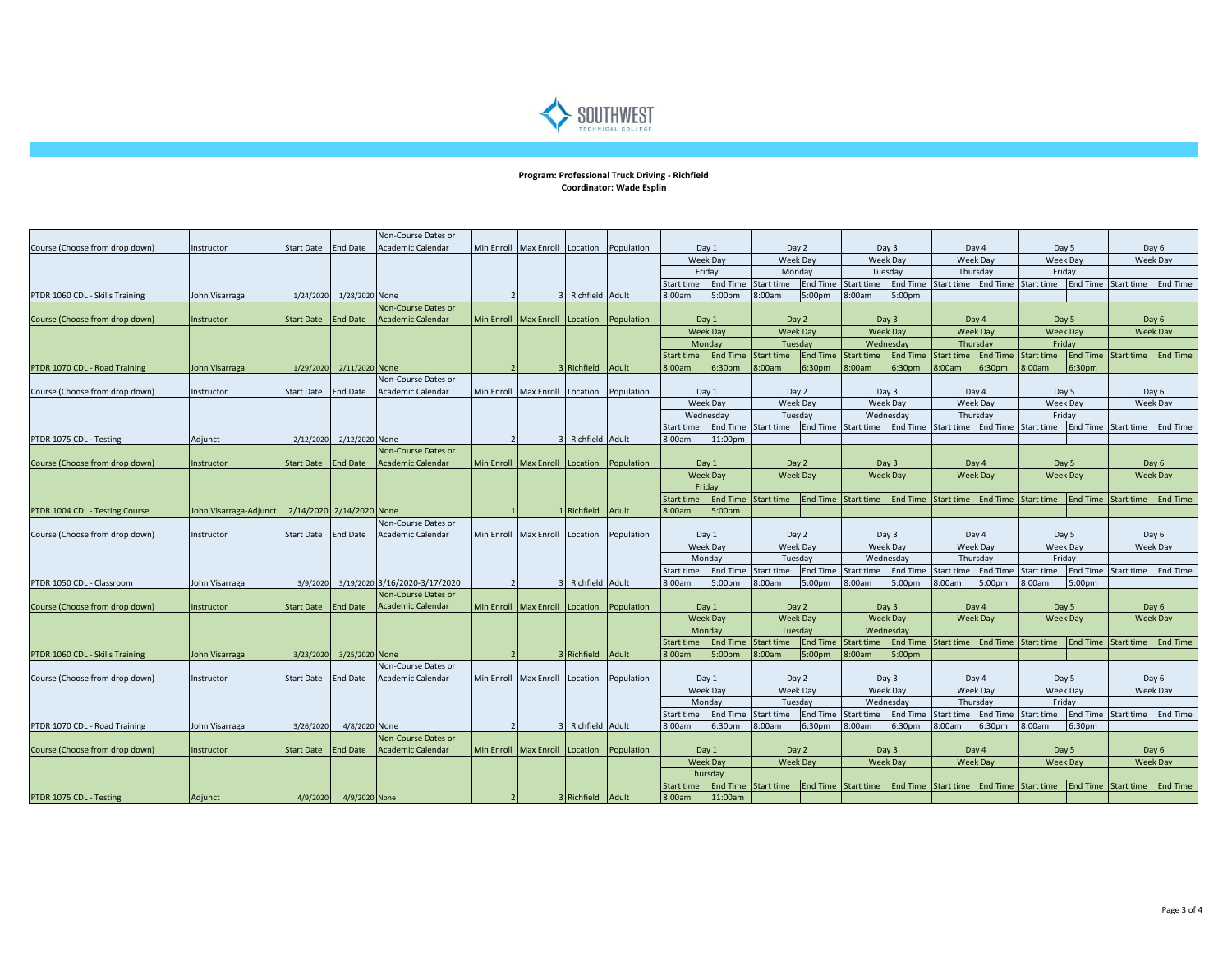

## **Program: Professional Truck Driving - Richfield Coordinator: Wade Esplin**

|                                 |                                                   |                     |                 | Non-Course Dates or           |            |                       |                   |            |                             |                          |                          |                    |                     |                                   |                     |                 |                                         |                             |                   |                 |  |  |
|---------------------------------|---------------------------------------------------|---------------------|-----------------|-------------------------------|------------|-----------------------|-------------------|------------|-----------------------------|--------------------------|--------------------------|--------------------|---------------------|-----------------------------------|---------------------|-----------------|-----------------------------------------|-----------------------------|-------------------|-----------------|--|--|
| Course (Choose from drop down)  | Instructor                                        | <b>Start Date</b>   | <b>End Date</b> | <b>Academic Calendar</b>      | Min Enroll | <b>Max Enroll</b>     | Location          | Population |                             | Day 1                    |                          | Day 2              |                     | Day 3                             | Day 4               |                 |                                         | Day 5                       |                   | Day 6           |  |  |
|                                 |                                                   |                     |                 |                               |            |                       |                   |            |                             | Week Day                 |                          | Week Day           |                     | Week Day                          |                     | Week Day        |                                         | Week Day                    |                   | Week Day        |  |  |
|                                 |                                                   |                     |                 |                               |            |                       |                   |            | Friday                      |                          | Monday                   |                    | Tuesday             |                                   | Thursday            |                 | Friday                                  |                             |                   |                 |  |  |
|                                 |                                                   |                     |                 |                               |            |                       |                   |            | Start time                  | <b>End Time</b>          | Start time               | End Time           | Start time          | <b>End Time</b>                   | Start time          | <b>End Time</b> | Start time                              | End Time                    | Start time        | End Time        |  |  |
| PTDR 1060 CDL - Skills Training | John Visarraga                                    | 1/24/2020           | 1/28/2020 None  |                               |            |                       | Richfield Adult   |            | 8:00am                      | 5:00 <sub>pm</sub>       | 8:00am                   | 5:00 <sub>pm</sub> | 8:00am              | 5:00 <sub>pm</sub>                |                     |                 |                                         |                             |                   |                 |  |  |
|                                 |                                                   |                     |                 | Non-Course Dates or           |            |                       |                   |            |                             |                          |                          |                    |                     |                                   |                     |                 |                                         |                             |                   |                 |  |  |
| Course (Choose from drop down)  | Instructor                                        | <b>Start Date</b>   | <b>End Date</b> | <b>Academic Calendar</b>      |            | Min Enroll Max Enroll | Location          | Population |                             | Day 1                    |                          | Day 2              |                     | Day 3                             | Day 4               |                 | Day 5                                   |                             |                   | Day 6           |  |  |
|                                 |                                                   |                     |                 |                               |            |                       |                   |            |                             | <b>Week Day</b>          | <b>Week Day</b>          |                    | <b>Week Day</b>     |                                   | <b>Week Day</b>     |                 | <b>Week Day</b>                         |                             | Week Day          |                 |  |  |
|                                 |                                                   |                     |                 |                               |            |                       |                   |            |                             | Monday                   |                          | Tuesday            | Wednesday           |                                   |                     |                 | Thursday                                |                             | Friday            |                 |  |  |
|                                 |                                                   |                     |                 |                               |            |                       |                   |            | <b>Start time</b>           | <b>End Time</b>          | Start time               | <b>End Time</b>    | <b>Start time</b>   | <b>End Time</b>                   | <b>Start time</b>   | <b>End Time</b> | <b>Start time</b>                       | <b>End Time</b>             | Start time        | <b>End Time</b> |  |  |
| PTDR 1070 CDL - Road Training   | John Visarraga                                    | 1/29/2020           | 2/11/2020 None  |                               |            |                       | Richfield         | Adult      | 8:00am                      | 6:30 <sub>pm</sub>       | 8:00am                   | 6:30 <sub>pm</sub> | 8:00am              | 6:30 <sub>pm</sub>                | 8:00am              | 6:30pm          | 3:00am                                  | 6:30pm                      |                   |                 |  |  |
|                                 |                                                   |                     |                 | Non-Course Dates or           |            |                       |                   |            |                             |                          |                          |                    |                     |                                   |                     |                 |                                         |                             |                   |                 |  |  |
| Course (Choose from drop down)  | Instructor                                        | <b>Start Date</b>   | <b>End Date</b> | Academic Calendar             |            | Min Enroll Max Enroll | Location          | Population | Day 1                       |                          | Day 2                    |                    | Day 3               |                                   | Day 4               |                 | Day 5                                   |                             | Day 6             |                 |  |  |
|                                 |                                                   |                     |                 |                               |            |                       |                   |            |                             | Week Day                 |                          | Week Day           |                     | Week Day                          |                     | Week Day        |                                         | Week Day                    |                   | <b>Week Day</b> |  |  |
|                                 |                                                   |                     |                 |                               |            |                       |                   |            |                             | Wednesday                |                          | Tuesday            |                     | Wednesday                         |                     | Thursday        |                                         | Fridav                      |                   |                 |  |  |
|                                 |                                                   |                     |                 |                               |            |                       |                   |            | Start time                  |                          | End Time Start time      |                    | End Time Start time |                                   |                     |                 | End Time Start time End Time Start time | End Time Start time         |                   | <b>End Time</b> |  |  |
| PTDR 1075 CDL - Testing         | Adjunct                                           | 2/12/2020           | 2/12/2020       | None                          |            |                       | Richfield Adult   |            | 8:00am                      | 11:00pm                  |                          |                    |                     |                                   |                     |                 |                                         |                             |                   |                 |  |  |
|                                 |                                                   |                     |                 | <b>Non-Course Dates or</b>    |            |                       |                   |            |                             |                          |                          |                    |                     |                                   |                     |                 |                                         |                             |                   |                 |  |  |
| Course (Choose from drop down)  | Instructor                                        | <b>Start Date</b>   | <b>End Date</b> | <b>Academic Calendar</b>      |            | Min Enroll Max Enroll | Location          | Population |                             | Day 1                    | Day 2                    |                    | Day 3               |                                   | Day 4               |                 | Day 5                                   |                             | Day 6             |                 |  |  |
|                                 |                                                   |                     |                 |                               |            |                       |                   |            |                             | <b>Week Day</b>          | <b>Week Day</b>          |                    | Week Day            |                                   |                     | <b>Week Day</b> |                                         | Week Day<br><b>Week Day</b> |                   |                 |  |  |
|                                 |                                                   |                     |                 |                               |            |                       |                   |            |                             | Friday                   |                          |                    |                     |                                   |                     |                 |                                         |                             |                   |                 |  |  |
|                                 |                                                   |                     |                 |                               |            |                       |                   |            | Start time                  | <b>End Time</b>          | Start time               | End Time           | Start time          | <b>End Time</b>                   | Start time          | <b>End Time</b> | Start time                              | <b>End Time</b>             | Start time        | <b>End Time</b> |  |  |
| PTDR 1004 CDL - Testing Course  | John Visarraga-Adjunct   2/14/2020 2/14/2020 None |                     |                 |                               |            |                       | Richfield Adult   |            | 8:00am                      | 5:00 <sub>pm</sub>       |                          |                    |                     |                                   |                     |                 |                                         |                             |                   |                 |  |  |
|                                 |                                                   |                     |                 | <b>Non-Course Dates or</b>    |            |                       |                   |            |                             |                          | Day 2                    |                    |                     |                                   |                     |                 |                                         |                             |                   |                 |  |  |
| Course (Choose from drop down)  | Instructor                                        | Start Date End Date |                 | Academic Calendar             |            | Min Enroll Max Enroll | Location          | Population | Day 1<br>Week Day<br>Monday |                          |                          |                    | Day 3               |                                   |                     |                 | Day 4<br>Day 5<br>Week Day<br>Week Day  |                             | Day 6<br>Week Day |                 |  |  |
|                                 |                                                   |                     |                 |                               |            |                       |                   |            |                             |                          | Week Day<br>Tuesday      |                    | Week Day            |                                   |                     |                 |                                         |                             |                   |                 |  |  |
|                                 |                                                   |                     |                 |                               |            |                       |                   |            |                             |                          |                          |                    | Wednesday           |                                   | Thursday            |                 | Friday                                  |                             |                   |                 |  |  |
|                                 |                                                   |                     |                 |                               |            |                       |                   |            | Start time                  | <b>End Time</b>          | Start time               | End Time           | Start time          | End Time                          | Start time          | <b>End Time</b> | Start time                              | <b>End Time</b>             | Start time        | End Time        |  |  |
| PTDR 1050 CDL - Classroom       | John Visarraga                                    | 3/9/2020            |                 | 3/19/2020 3/16/2020-3/17/2020 |            |                       | Richfield Adult   |            | 8:00am                      | 5:00 <sub>pm</sub>       | 8:00am                   | 5:00 <sub>pm</sub> | 8:00am              | 5:00 <sub>pm</sub>                | 8:00am              | 5:00pm          | 3:00am                                  | 5:00pm                      |                   |                 |  |  |
|                                 |                                                   |                     |                 | Non-Course Dates or           |            |                       |                   |            |                             |                          |                          |                    |                     |                                   |                     |                 |                                         |                             |                   |                 |  |  |
| Course (Choose from drop down)  | Instructor                                        | <b>Start Date</b>   | <b>End Date</b> | <b>Academic Calendar</b>      |            | Min Enroll Max Enroll | Location          | Population |                             | Day 1<br><b>Week Day</b> | Day 2<br><b>Week Day</b> |                    | Week Day            | Day 3<br>Day 4<br><b>Week Day</b> |                     |                 | Day 5<br><b>Week Day</b>                |                             | Day 6             |                 |  |  |
|                                 |                                                   |                     |                 |                               |            |                       |                   |            |                             | Monday                   | Tuesday                  |                    |                     | Wednesdav                         |                     |                 |                                         |                             | Week Day          |                 |  |  |
|                                 |                                                   |                     |                 |                               |            |                       |                   |            | <b>Start time</b>           | <b>End Time</b>          | <b>Start time</b>        |                    | End Time Start time |                                   | End Time Start time | <b>End Time</b> | <b>Start time</b>                       | <b>End Time Start time</b>  |                   | <b>End Time</b> |  |  |
| PTDR 1060 CDL - Skills Training | John Visarraga                                    | 3/23/2020           | 3/25/2020 None  |                               |            |                       | Richfield Adult   |            | 8:00am                      | 5:00 <sub>pm</sub>       | 8:00am                   | 5:00 <sub>pm</sub> | 3:00am              | 5:00pm                            |                     |                 |                                         |                             |                   |                 |  |  |
|                                 |                                                   |                     |                 | Non-Course Dates or           |            |                       |                   |            |                             |                          |                          |                    |                     |                                   |                     |                 |                                         |                             |                   |                 |  |  |
| Course (Choose from drop down)  | Instructor                                        | <b>Start Date</b>   | <b>End Date</b> | Academic Calendar             |            | Min Enroll Max Enroll | Location          | Population |                             | Day 1                    |                          | Day 2              |                     | Day 3                             | Day 4               |                 |                                         | Day 5                       |                   | Day 6           |  |  |
|                                 |                                                   |                     |                 |                               |            |                       |                   |            |                             |                          | Week Day                 |                    | <b>Week Day</b>     |                                   | <b>Week Day</b>     |                 |                                         | Week Day                    | Week Day          |                 |  |  |
|                                 |                                                   |                     |                 |                               |            |                       |                   |            | <b>Week Day</b><br>Monday   |                          | Tuesdav                  |                    | Wednesday           |                                   | Thursday            |                 |                                         | Fridav                      |                   |                 |  |  |
|                                 |                                                   |                     |                 |                               |            |                       |                   |            | Start time                  | <b>End Time</b>          | Start time               | End Time           | <b>Start time</b>   | <b>End Time</b>                   | Start time          | <b>End Time</b> | Start time                              | <b>End Time</b>             | Start time        | <b>End Time</b> |  |  |
| PTDR 1070 CDL - Road Training   | John Visarraga                                    | 3/26/2020           | 4/8/2020 None   |                               |            |                       | Richfield Adult   |            | 8:00am                      | 6:30 <sub>pm</sub>       | 8:00am                   | 6:30 <sub>pm</sub> | 8:00am              | 6:30 <sub>pm</sub>                | 8:00am              | 6:30pm          | 8:00am                                  | 6:30pm                      |                   |                 |  |  |
|                                 |                                                   |                     |                 | Non-Course Dates or           |            |                       |                   |            |                             |                          |                          |                    |                     |                                   |                     |                 |                                         |                             |                   |                 |  |  |
| Course (Choose from drop down)  | Instructor                                        | <b>Start Date</b>   | <b>End Date</b> | <b>Academic Calendar</b>      |            | Min Enroll Max Enroll | Location          | Population |                             | Day 1                    |                          | Day 2              | Day 3               |                                   | Day 4               |                 | Day 5                                   |                             | Day 6             |                 |  |  |
|                                 |                                                   |                     |                 |                               |            |                       |                   |            |                             | <b>Week Day</b>          | <b>Week Day</b>          |                    | <b>Week Day</b>     |                                   | <b>Week Day</b>     |                 | <b>Week Day</b>                         |                             | <b>Week Day</b>   |                 |  |  |
|                                 |                                                   |                     |                 |                               |            |                       |                   |            |                             | Thursdav                 |                          |                    |                     |                                   |                     |                 |                                         |                             |                   |                 |  |  |
|                                 |                                                   |                     |                 |                               |            |                       |                   |            | Start time                  | <b>End Time</b>          | <b>Start time</b>        | <b>End Time</b>    | <b>Start time</b>   | <b>End Time</b>                   | <b>Start time</b>   | <b>End Time</b> | Start time                              | <b>End Time</b>             | <b>Start time</b> | <b>End Time</b> |  |  |
| PTDR 1075 CDL - Testing         | Adjunct                                           | 4/9/2020            | 4/9/2020 None   |                               |            |                       | 3 Richfield Adult |            | 8:00am                      | 11:00am                  |                          |                    |                     |                                   |                     |                 |                                         |                             |                   |                 |  |  |